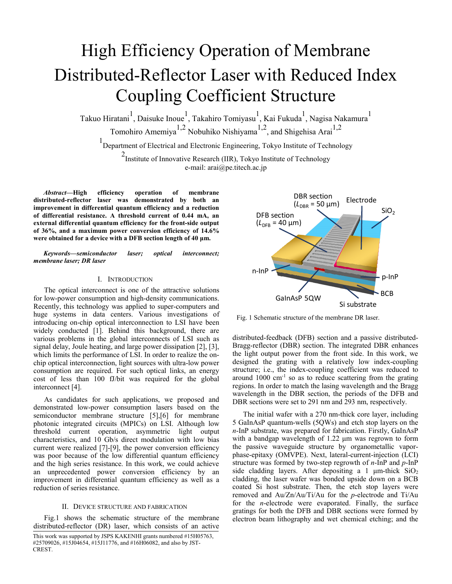# High Efficiency Operation of Membrane Distributed-Reflector Laser with Reduced Index Coupling Coefficient Structure

Takuo Hiratani<sup>1</sup>, Daisuke Inoue<sup>1</sup>, Takahiro Tomiyasu<sup>1</sup>, Kai Fukuda<sup>1</sup>, Nagisa Nakamura<sup>1</sup> Tomohiro Amemiya<sup>1,2</sup> Nobuhiko Nishiyama<sup>1,2</sup>, and Shigehisa Arai<sup>1,2</sup>

1 Department of Electrical and Electronic Engineering, Tokyo Institute of Technology <sup>2</sup> Institute of Innovative Research (IIR), Tokyo Institute of Technology e-mail: arai@pe.titech.ac.jp

*Abstract***—High efficiency operation of membrane distributed-reflector laser was demonstrated by both an improvement in differential quantum efficiency and a reduction of differential resistance. A threshold current of 0.44 mA, an external differential quantum efficiency for the front-side output of 36%, and a maximum power conversion efficiency of 14.6% were obtained for a device with a DFB section length of 40 μm.**

*Keywords—semiconductor laser; optical interconnect; membrane laser; DR laser* 

## I. INTRODUCTION

The optical interconnect is one of the attractive solutions for low-power consumption and high-density communications. Recently, this technology was applied to super-computers and huge systems in data centers. Various investigations of introducing on-chip optical interconnection to LSI have been widely conducted [1]. Behind this background, there are various problems in the global interconnects of LSI such as signal delay, Joule heating, and large power dissipation [2], [3], which limits the performance of LSI. In order to realize the onchip optical interconnection, light sources with ultra-low power consumption are required. For such optical links, an energy cost of less than 100 fJ/bit was required for the global interconnect [4].

As candidates for such applications, we proposed and demonstrated low-power consumption lasers based on the semiconductor membrane structure [5],[6] for membrane photonic integrated circuits (MPICs) on LSI. Although low threshold current operation, asymmetric light output characteristics, and 10 Gb/s direct modulation with low bias current were realized [7]-[9], the power conversion efficiency was poor because of the low differential quantum efficiency and the high series resistance. In this work, we could achieve an unprecedented power conversion efficiency by an improvement in differential quantum efficiency as well as a reduction of series resistance.

## II. DEVICE STRUCTURE AND FABRICATION

Fig.1 shows the schematic structure of the membrane distributed-reflector (DR) laser, which consists of an active



Fig. 1 Schematic structure of the membrane DR laser.

distributed-feedback (DFB) section and a passive distributed-Bragg-reflector (DBR) section. The integrated DBR enhances the light output power from the front side. In this work, we designed the grating with a relatively low index-coupling structure; i.e., the index-coupling coefficient was reduced to around  $1000 \text{ cm}^{-1}$  so as to reduce scattering from the grating regions. In order to match the lasing wavelength and the Bragg wavelength in the DBR section, the periods of the DFB and DBR sections were set to 291 nm and 293 nm, respectively.

The initial wafer with a 270 nm-thick core layer, including 5 GaInAsP quantum-wells (5QWs) and etch stop layers on the *n*-InP substrate, was prepared for fabrication. Firstly, GaInAsP with a bandgap wavelength of 1.22 μm was regrown to form the passive waveguide structure by organometallic vaporphase-epitaxy (OMVPE). Next, lateral-current-injection (LCI) structure was formed by two-step regrowth of *n*-InP and *p*-InP side cladding layers. After depositing a 1  $\mu$ m-thick SiO<sub>2</sub> cladding, the laser wafer was bonded upside down on a BCB coated Si host substrate. Then, the etch stop layers were removed and Au/Zn/Au/Ti/Au for the *p*-electrode and Ti/Au for the *n*-electrode were evaporated. Finally, the surface gratings for both the DFB and DBR sections were formed by electron beam lithography and wet chemical etching; and the

This work was supported by JSPS KAKENHI grants numbered #15H05763, #25709026, #15J04654, #15J11776, and #16H06082, and also by JST-CREST.